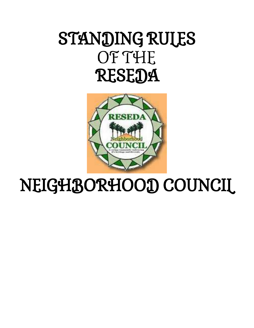# STANDING RULES OF THE **RESEDA**



# NEIGHBORHOOD COUNCIL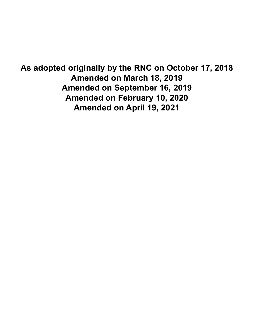**As adopted originally by the RNC on October 17, 2018 Amended on March 18, 2019 Amended on September 16, 2019 Amended on February 10, 2020 Amended on April 19, 2021**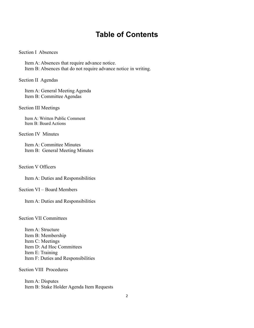# **Table of Contents**

#### Section I Absences

Item A: Absences that require advance notice. Item B: Absences that do not require advance notice in writing.

Section II Agendas

Item A: General Meeting Agenda Item B: Committee Agendas

Section III Meetings

Item A: Written Public Comment Item B: Board Actions

Section IV Minutes

Item A: Committee Minutes Item B: General Meeting Minutes

Section V Officers

Item A: Duties and Responsibilities

Section VI – Board Members

Item A: Duties and Responsibilities

Section VII Committees

Item A: Structure Item B: Membership Item C: Meetings Item D: Ad Hoc Committees Item E: Training Item F: Duties and Responsibilities

Section VIII Procedures

Item A: Disputes Item B: Stake Holder Agenda Item Requests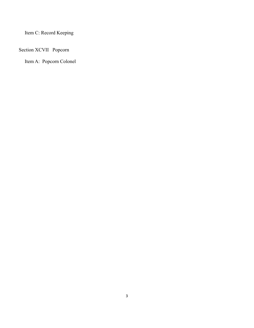Item C: Record Keeping

# Section XCVII Popcorn

Item A: Popcorn Colonel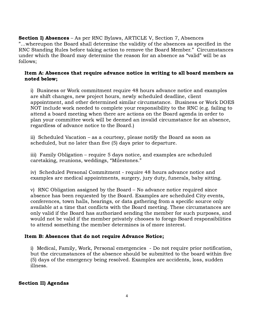Section I) Absences – As per RNC Bylaws, ARTICLE V, Section 7, Absences "…whereupon the Board shall determine the validity of the absences as specified in the RNC Standing Rules before taking action to remove the Board Member." Circumstances under which the Board may determine the reason for an absence as "valid" will be as follows;

# Item A: Absences that require advance notice in writing to all board members as noted below;

i) Business or Work commitment require 48 hours advance notice and examples are shift changes, new project hours, newly scheduled deadline, client appointment, and other determined similar circumstance. Business or Work DOES NOT include work needed to complete your responsibility to the RNC (e.g. failing to attend a board meeting when there are actions on the Board agenda in order to plan your committee work will be deemed an invalid circumstance for an absence, regardless of advance notice to the Board.)

ii) Scheduled Vacation – as a courtesy, please notify the Board as soon as scheduled, but no later than five (5) days prior to departure.

iii) Family Obligation – require 5 days notice, and examples are scheduled caretaking, reunions, weddings, "Milestones."

iv) Scheduled Personal Commitment - require 48 hours advance notice and examples are medical appointments, surgery, jury duty, funerals, baby sitting.

v) RNC Obligation assigned by the Board – No advance notice required since absence has been requested by the Board. Examples are scheduled City events, conferences, town halls, hearings, or data gathering from a specific source only available at a time that conflicts with the Board meeting. These circumstances are only valid if the Board has authorized sending the member for such purposes, and would not be valid if the member privately chooses to forego Board responsibilities to attend something the member determines is of more interest.

# Item B: Absences that do not require Advance Notice;

i) Medical, Family, Work, Personal emergencies - Do not require prior notification, but the circumstances of the absence should be submitted to the board within five (5) days of the emergency being resolved. Examples are accidents, loss, sudden illness.

# Section II) Agendas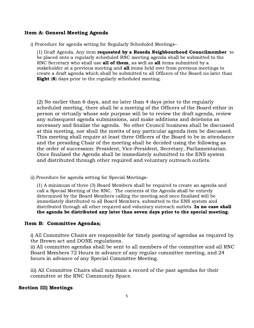#### Item A: General Meeting Agenda

i) Procedure for agenda setting for Regularly Scheduled Meetings–

(1) Draft Agenda. Any item requested by a Reseda Neighbourhood Councilmember to be placed onto a regularly scheduled RNC meeting agenda shall be submitted to the RNC Secretary who shall use **all of them**, as well as **all** items submitted by a stakeholder at a previous meeting and all items held over from previous meetings to create a draft agenda which shall be submitted to all Officers of the Board no later than **Eight (8)** days prior to the regularly scheduled meeting.

(2) No earlier than 6 days, and no later than 4 days prior to the regularly scheduled meeting, there shall be a meeting of the Officers of the Board either in person or virtually whose sole purpose will be to review the draft agenda, review any subsequent agenda submissions, and make additions and deletions as necessary and finalize the agenda. No other Council business shall be discussed at this meeting, nor shall the merits of any particular agenda item be discussed. This meeting shall require at least three Officers of the Board to be in attendance and the presiding Chair of the meeting shall be decided using the following as the order of succession: President, Vice-President, Secretary, Parliamentarian. Once finalized the Agenda shall be immediately submitted to the ENS system and distributed through other required and voluntary outreach outlets.

ii) Procedure for agenda setting for Special Meetings-

(1) A minimum of three (3) Board Members shall be required to create an agenda and call a Special Meeting of the RNC. The contents of the Agenda shall be entirely determined by the Board Members calling the meeting and once finalized will be immediately distributed to all Board Members, submitted to the ENS system and distributed through all other required and voluntary outreach outlets. In no case shall the agenda be distributed any later than seven days prior to the special meeting.

#### Item B: Committee Agendas;

i) All Committee Chairs are responsible for timely posting of agendas as required by the Brown act and DONE regulations.

ii) All committee agendas shall be sent to all members of the committee and all RNC Board Members 72 Hours in advance of any regular committee meeting, and 24 hours in advance of any Special Committee Meeting.

iii) All Committee Chairs shall maintain a record of the past agendas for their committee at the RNC Community Space.

#### Section III) Meetings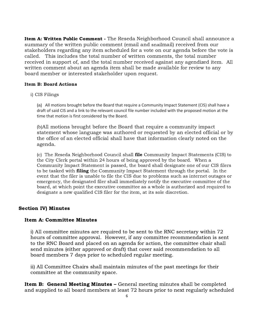Item A: Written Public Comment - The Reseda Neighborhood Council shall announce a summary of the written public comment (email and snailmail) received from our stakeholders regarding any item scheduled for a vote on our agenda before the vote is called. This includes the total number of written comments, the total number received in support of, and the total number received against any agendized item. All written comment about an agenda item shall be made available for review to any board member or interested stakeholder upon request.

#### Item B: Board Actions

i) CIS Filings

(a) All motions brought before the Board that require a Community Impact Statement (CIS) shall have a draft of said CIS and a link to the relevant council file number included with the proposed motion at the time that motion is first considered by the Board.

(b)All motions brought before the Board that require a community impact statement whose language was authored or requested by an elected official or by the office of an elected official shall have that information clearly noted on the agenda.

(c) The Reseda Neighborhood Council shall file Community Impact Statements (CIS) to the City Clerk portal within 24 hours of being approved by the board. When a Community Impact Statement is passed, the board shall designate one of our CIS filers to be tasked with **filing** the Community Impact Statement through the portal. In the event that the filer is unable to file the CIS due to problems such as internet outages or emergency, the designated filer shall immediately notify the executive committee of the board, at which point the executive committee as a whole is authorized and required to designate a new qualified CIS filer for the item, at its sole discretion.

#### Section IV) Minutes

#### Item A: Committee Minutes

i) All committee minutes are required to be sent to the RNC secretary within 72 hours of committee approval. However, if any committee recommendation is sent to the RNC Board and placed on an agenda for action, the committee chair shall send minutes (either approved or draft) that cover said recommendation to all board members 7 days prior to scheduled regular meeting.

ii) All Committee Chairs shall maintain minutes of the past meetings for their committee at the community space.

**Item B: General Meeting Minutes –** General meeting minutes shall be completed and supplied to all board members at least 72 hours prior to next regularly scheduled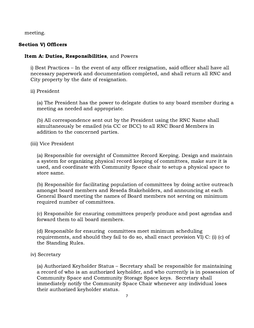meeting.

# Section V) Officers

## Item A: Duties, Responsibilities, and Powers

i) Best Practices – In the event of any officer resignation, said officer shall have all necessary paperwork and documentation completed, and shall return all RNC and City property by the date of resignation.

ii) President

(a) The President has the power to delegate duties to any board member during a meeting as needed and appropriate.

(b) All correspondence sent out by the President using the RNC Name shall simultaneously be emailed (via CC or BCC) to all RNC Board Members in addition to the concerned parties.

(iii) Vice President

(a) Responsible for oversight of Committee Record Keeping. Design and maintain a system for organizing physical record keeping of committees, make sure it is used, and coordinate with Community Space chair to setup a physical space to store same.

(b) Responsible for facilitating population of committees by doing active outreach amongst board members and Reseda Stakeholders, and announcing at each General Board meeting the names of Board members not serving on minimum required number of committees.

(c) Responsible for ensuring committees properly produce and post agendas and forward them to all board members.

(d) Responsible for ensuring committees meet minimum scheduling requirements, and should they fail to do so, shall enact provision VI) C: (i) (c) of the Standing Rules.

#### iv) Secretary

(a) Authorized Keyholder Status – Secretary shall be responsible for maintaining a record of who is an authorized keyholder, and who currently is in possession of Community Space and Community Storage Space keys. Secretary shall immediately notify the Community Space Chair whenever any individual loses their authorized keyholder status.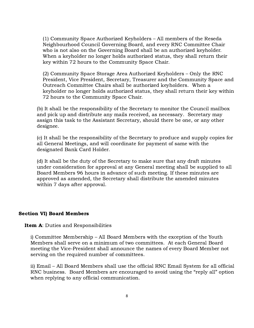(1) Community Space Authorized Keyholders – All members of the Reseda Neighbourhood Council Governing Board, and every RNC Committee Chair who is not also on the Governing Board shall be an authorized keyholder. When a keyholder no longer holds authorized status, they shall return their key within 72 hours to the Community Space Chair.

(2) Community Space Storage Area Authorized Keyholders – Only the RNC President, Vice President, Secretary, Treasurer and the Community Space and Outreach Committee Chairs shall be authorized keyholders. When a keyholder no longer holds authorized status, they shall return their key within 72 hours to the Community Space Chair.

(b) It shall be the responsibility of the Secretary to monitor the Council mailbox and pick up and distribute any mails received, as necessary. Secretary may assign this task to the Assistant Secretary, should there be one, or any other designee.

(c) It shall be the responsibility of the Secretary to produce and supply copies for all General Meetings, and will coordinate for payment of same with the designated Bank Card Holder.

(d) It shall be the duty of the Secretary to make sure that any draft minutes under consideration for approval at any General meeting shall be supplied to all Board Members 96 hours in advance of such meeting. If these minutes are approved as amended, the Secretary shall distribute the amended minutes within 7 days after approval.

#### Section VI) Board Members

#### **Item A: Duties and Responsibilities**

i) Committee Membership – All Board Members with the exception of the Youth Members shall serve on a minimum of two committees. At each General Board meeting the Vice-President shall announce the names of every Board Member not serving on the required number of committees.

ii) Email – All Board Members shall use the official RNC Email System for all official RNC business. Board Members are encouraged to avoid using the "reply all" option when replying to any official communication.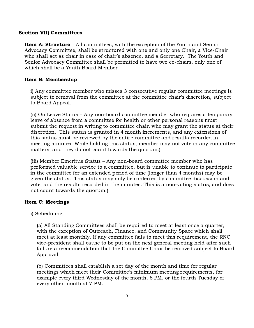#### Section VII) Committees

**Item A: Structure** – All committees, with the exception of the Youth and Senior Advocacy Committee, shall be structured with one and only one Chair, a Vice-Chair who shall act as chair in case of chair's absence, and a Secretary. The Youth and Senior Advocacy Committee shall be permitted to have two co-chairs, only one of which shall be a Youth Board Member.

# Item B: Membership

i) Any committee member who misses 3 consecutive regular committee meetings is subject to removal from the committee at the committee chair's discretion, subject to Board Appeal.

(ii) On Leave Status – Any non-board committee member who requires a temporary leave of absence from a committee for health or other personal reasons must submit the request in writing to committee chair, who may grant the status at their discretion. This status is granted in 4 month increments, and any extensions of this status must be reviewed by the entire committee and results recorded in meeting minutes. While holding this status, member may not vote in any committee matters, and they do not count towards the quorum.)

(iii) Member Emeritus Status – Any non-board committee member who has performed valuable service to a committee, but is unable to continue to participate in the committee for an extended period of time (longer than 4 months) may be given the status. This status may only be conferred by committee discussion and vote, and the results recorded in the minutes. This is a non-voting status, and does not count towards the quorum.)

# Item C: Meetings

i) Scheduling

(a) All Standing Committees shall be required to meet at least once a quarter, with the exception of Outreach, Finance, and Community Space which shall meet at least monthly. If any committee fails to meet this requirement, the RNC vice-president shall cause to be put on the next general meeting held after such failure a recommendation that the Committee Chair be removed subject to Board Approval.

(b) Committees shall establish a set day of the month and time for regular meetings which meet their Committee's minimum meeting requirements, for example every third Wednesday of the month, 6 PM, or the fourth Tuesday of every other month at 7 PM.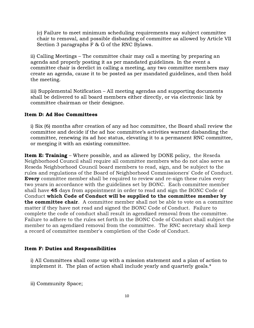(c) Failure to meet minimum scheduling requirements may subject committee chair to removal, and possible disbanding of committee as allowed by Article VII Section 3 paragraphs F & G of the RNC Bylaws.

ii) Calling Meetings – The committee chair may call a meeting by preparing an agenda and properly posting it as per mandated guidelines. In the event a committee chair is derelict in calling a meeting, any two committee members may create an agenda, cause it to be posted as per mandated guidelines, and then hold the meeting.

iii) Supplemental Notification – All meeting agendas and supporting documents shall be delivered to all board members either directly, or via electronic link by committee chairman or their designee.

#### Item D: Ad Hoc Committees

i) Six (6) months after creation of any ad hoc committee, the Board shall review the committee and decide if the ad hoc committee's activities warrant disbanding the committee, renewing its ad hoc status, elevating it to a permanent RNC committee, or merging it with an existing committee.

**Item E: Training** – Where possible, and as allowed by DONE policy, the Reseda Neighborhood Council shall require all committee members who do not also serve as Reseda Neighborhood Council board members to read, sign, and be subject to the rules and regulations of the Board of Neighborhood Commissioners' Code of Conduct. **Every** committee member shall be required to review and re-sign these rules every two years in accordance with the guidelines set by BONC. Each committee member shall have 45 days from appointment in order to read and sign the BONC Code of Conduct which Code of Conduct will be supplied to the committee member by **the committee chair.** A committee member shall not be able to vote on a committee matter if they have not read and signed the BONC Code of Conduct. Failure to complete the code of conduct shall result in agendized removal from the committee. Failure to adhere to the rules set forth in the BONC Code of Conduct shall subject the member to an agendized removal from the committee. The RNC secretary shall keep a record of committee member's completion of the Code of Conduct.

#### Item F: Duties and Responsibilities

i) All Committees shall come up with a mission statement and a plan of action to implement it. The plan of action shall include yearly and quarterly goals.\*

ii) Community Space;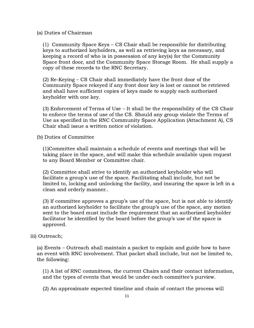#### (a) Duties of Chairman

(1) Community Space Keys – CS Chair shall be responsible for distributing keys to authorized keyholders, as well as retrieving keys as necessary, and keeping a record of who is in possession of any key(s) for the Community Space front door, and the Community Space Storage Room. He shall supply a copy of these records to the RNC Secretary.

(2) Re-Keying – CS Chair shall immediately have the front door of the Community Space rekeyed if any front door key is lost or cannot be retrieved and shall have sufficient copies of keys made to supply each authorized keyholder with one key.

(3) Enforcement of Terms of Use – It shall be the responsibility of the CS Chair to enforce the terms of use of the CS. Should any group violate the Terms of Use as specified in the RNC Community Space Application (Attachment A), CS Chair shall issue a written notice of violation.

(b) Duties of Committee

(1)Committee shall maintain a schedule of events and meetings that will be taking place in the space, and will make this schedule available upon request to any Board Member or Committee chair.

(2) Committee shall strive to identify an authorized keyholder who will facilitate a group's use of the space. Facilitating shall include, but not be limited to, locking and unlocking the facility, and insuring the space is left in a clean and orderly manner..

(3) If committee approves a group's use of the space, but is not able to identify an authorized keyholder to facilitate the group's use of the space, any motion sent to the board must include the requirement that an authorized keyholder facilitator be identified by the board before the group's use of the space is approved.

#### iii) Outreach;

(a) Events – Outreach shall maintain a packet to explain and guide how to have an event with RNC involvement. That packet shall include, but not be limited to, the following:

(1) A list of RNC committees, the current Chairs and their contact information, and the types of events that would be under each committee's purview.

(2) An approximate expected timeline and chain of contact the process will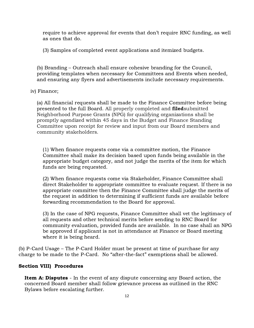require to achieve approval for events that don't require RNC funding, as well as ones that do.

(3) Samples of completed event applications and itemized budgets.

(b) Branding – Outreach shall ensure cohesive branding for the Council, providing templates when necessary for Committees and Events when needed, and ensuring any flyers and advertisements include necessary requirements.

#### iv) Finance;

(a) All financial requests shall be made to the Finance Committee before being presented to the full Board. All properly completed and **filed** submitted Neighborhood Purpose Grants (NPG) for qualifying organizations shall be promptly agendized within 45 days in the Budget and Finance Standing Committee upon receipt for review and input from our Board members and community stakeholders.

(1) When finance requests come via a committee motion, the Finance Committee shall make its decision based upon funds being available in the appropriate budget category, and not judge the merits of the item for which funds are being requested.

(2) When finance requests come via Stakeholder, Finance Committee shall direct Stakeholder to appropriate committee to evaluate request. If there is no appropriate committee then the Finance Committee shall judge the merits of the request in addition to determining if sufficient funds are available before forwarding recommendation to the Board for approval.

(3) In the case of NPG requests, Finance Committee shall vet the legitimacy of all requests and other technical merits before sending to RNC Board for community evaluation, provided funds are available. In no case shall an NPG be approved if applicant is not in attendance at Finance or Board meeting where it is being heard.

(b) P-Card Usage – The P-Card Holder must be present at time of purchase for any charge to be made to the P-Card. No "after-the-fact" exemptions shall be allowed.

#### Section VIII) Procedures

**Item A: Disputes** - In the event of any dispute concerning any Board action, the concerned Board member shall follow grievance process as outlined in the RNC Bylaws before escalating further.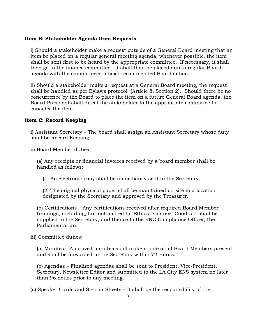## Item B: Stakeholder Agenda Item Requests

i) Should a stakeholder make a request outside of a General Board meeting that an item be placed on a regular general meeting agenda, whenever possible, the item shall be sent first to be heard by the appropriate committee. If necessary, it shall then go to the finance committee. It shall then be placed onto a regular Board agenda with the committee(s) official recommended Board action.

ii) Should a stakeholder make a request at a General Board meeting, the request shall be handled as per Bylaws protocol (Article 8, Section 2). Should there be no concurrence by the Board to place the item on a future General Board agenda, the Board President shall direct the stakeholder to the appropriate committee to consider the item.

### Item C: Record Keeping

i) Assistant Secretary – The board shall assign an Assistant Secretary whose duty shall be Record Keeping.

ii) Board Member duties;

(a) Any receipts or financial invoices received by a board member shall be handled as follows:

(1) An electronic copy shall be immediately sent to the Secretary.

(2) The original physical paper shall be maintained on site in a location designated by the Secretary and approved by the Treasurer.

(b) Certifications – Any certifications received after required Board Member trainings, including, but not limited to, Ethics, Finance, Conduct, shall be supplied to the Secretary, and thence to the RNC Compliance Officer, the Parliamentarian.

iii) Committee duties;

(a) Minutes – Approved minutes shall make a note of all Board Members present and shall be forwarded to the Secretary within 72 Hours.

(b) Agendas – Finalized agendas shall be sent to President, Vice-President, Secretary, Newsletter Editor and submitted to the LA City ENS system no later than 96 hours prior to any meeting.

(c) Speaker Cards and Sign-in Sheets – It shall be the responsibility of the